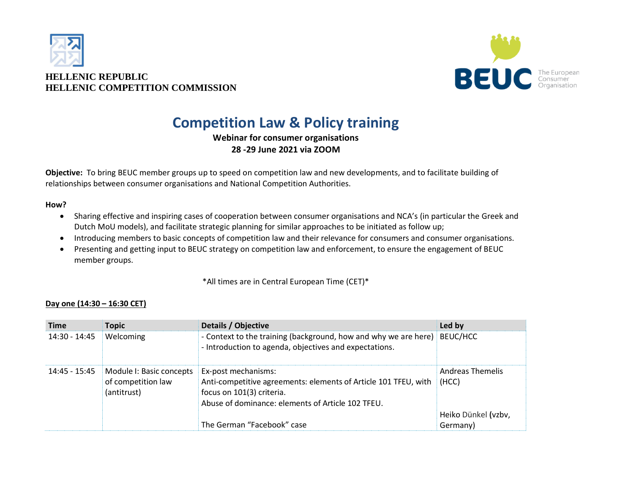



# **Competition Law & Policy training**

**Webinar for consumer organisations 28 -29 June 2021 via ZOOM**

**Objective:** To bring BEUC member groups up to speed on competition law and new developments, and to facilitate building of relationships between consumer organisations and National Competition Authorities.

#### **How?**

- Sharing effective and inspiring cases of cooperation between consumer organisations and NCA's (in particular the Greek and Dutch MoU models), and facilitate strategic planning for similar approaches to be initiated as follow up;
- Introducing members to basic concepts of competition law and their relevance for consumers and consumer organisations.
- Presenting and getting input to BEUC strategy on competition law and enforcement, to ensure the engagement of BEUC member groups.

\*All times are in Central European Time (CET)\*

| <b>Time</b>   | <b>Topic</b>                                                  | Details / Objective                                                                                                                                                      | Led by                          |
|---------------|---------------------------------------------------------------|--------------------------------------------------------------------------------------------------------------------------------------------------------------------------|---------------------------------|
| 14:30 - 14:45 | Welcoming                                                     | - Context to the training (background, how and why we are here)<br>- Introduction to agenda, objectives and expectations.                                                | BEUC/HCC                        |
| 14:45 - 15:45 | Module I: Basic concepts<br>of competition law<br>(antitrust) | Ex-post mechanisms:<br>Anti-competitive agreements: elements of Article 101 TFEU, with<br>focus on 101(3) criteria.<br>Abuse of dominance: elements of Article 102 TFEU. | Andreas Themelis<br>(HCC)       |
|               |                                                               | The German "Facebook" case                                                                                                                                               | Heiko Dünkel (vzbv,<br>Germany) |

#### **Day one (14:30 – 16:30 CET)**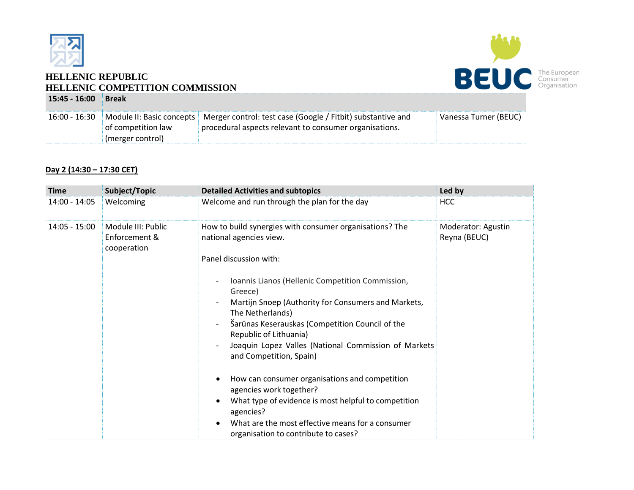

### **HELLENIC REPUBLIC HELLENIC COMPETITION COMMISSION 15:45 - 16:00 Break**



| 16:00 - 16:30 |                    | Module II: Basic concepts   Merger control: test case (Google / Fitbit) substantive and | Vanessa Turner (BEUC) |
|---------------|--------------------|-----------------------------------------------------------------------------------------|-----------------------|
|               | of competition law | procedural aspects relevant to consumer organisations.                                  |                       |
|               | (merger control)   |                                                                                         |                       |
|               |                    |                                                                                         |                       |

#### **Day 2 (14:30 – 17:30 CET)**

| <b>Time</b>     | Subject/Topic                                      | <b>Detailed Activities and subtopics</b>                                                                                                                                                                                                                                                                                                                                                                                                                                                                                                                                                                                                                                                                    | Led by                             |
|-----------------|----------------------------------------------------|-------------------------------------------------------------------------------------------------------------------------------------------------------------------------------------------------------------------------------------------------------------------------------------------------------------------------------------------------------------------------------------------------------------------------------------------------------------------------------------------------------------------------------------------------------------------------------------------------------------------------------------------------------------------------------------------------------------|------------------------------------|
| 14:00 - 14:05   | Welcoming                                          | Welcome and run through the plan for the day                                                                                                                                                                                                                                                                                                                                                                                                                                                                                                                                                                                                                                                                | <b>HCC</b>                         |
| $14:05 - 15:00$ | Module III: Public<br>Enforcement &<br>cooperation | How to build synergies with consumer organisations? The<br>national agencies view.<br>Panel discussion with:<br>Ioannis Lianos (Hellenic Competition Commission,<br>Greece)<br>Martijn Snoep (Authority for Consumers and Markets,<br>The Netherlands)<br>Šarūnas Keserauskas (Competition Council of the<br>Republic of Lithuania)<br>Joaquin Lopez Valles (National Commission of Markets<br>and Competition, Spain)<br>How can consumer organisations and competition<br>$\bullet$<br>agencies work together?<br>What type of evidence is most helpful to competition<br>$\bullet$<br>agencies?<br>What are the most effective means for a consumer<br>$\bullet$<br>organisation to contribute to cases? | Moderator: Agustin<br>Reyna (BEUC) |